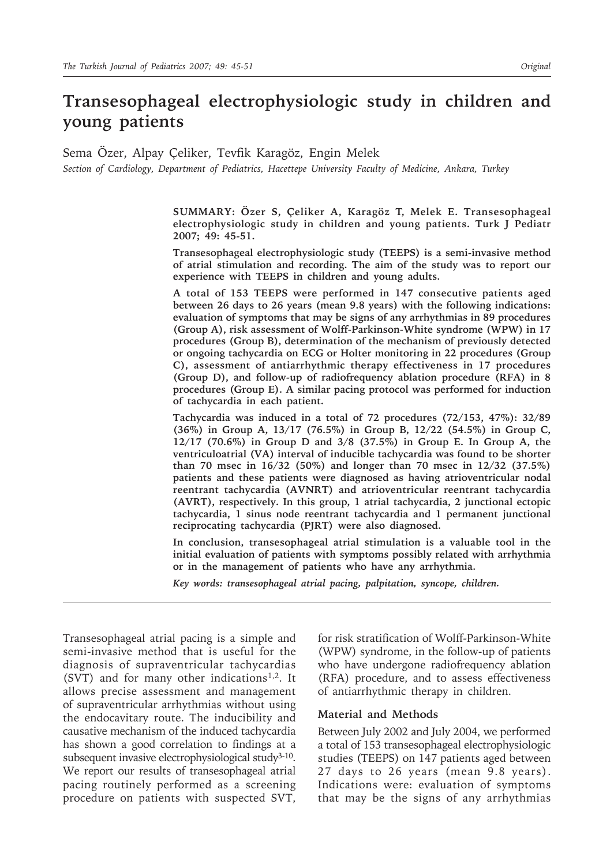# **Transesophageal electrophysiologic study in children and young patients**

Sema Özer, Alpay Çeliker, Tevfik Karagöz, Engin Melek *Section of Cardiology, Department of Pediatrics, Hacettepe University Faculty of Medicine, Ankara, Turkey*

> **SUMMARY: Özer S, Çeliker A, Karagöz T, Melek E. Transesophageal electrophysiologic study in children and young patients. Turk J Pediatr 2007; 49: 45-51.**

> **Transesophageal electrophysiologic study (TEEPS) is a semi-invasive method of atrial stimulation and recording. The aim of the study was to report our experience with TEEPS in children and young adults.**

> **A total of 153 TEEPS were performed in 147 consecutive patients aged between 26 days to 26 years (mean 9.8 years) with the following indications: evaluation of symptoms that may be signs of any arrhythmias in 89 procedures (Group A), risk assessment of Wolff-Parkinson-White syndrome (WPW) in 17 procedures (Group B), determination of the mechanism of previously detected or ongoing tachycardia on ECG or Holter monitoring in 22 procedures (Group C), assessment of antiarrhythmic therapy effectiveness in 17 procedures (Group D), and follow-up of radiofrequency ablation procedure (RFA) in 8 procedures (Group E). A similar pacing protocol was performed for induction of tachycardia in each patient.**

> **Tachycardia was induced in a total of 72 procedures (72/153, 47%): 32/89 (36%) in Group A, 13/17 (76.5%) in Group B, 12/22 (54.5%) in Group C, 12/17 (70.6%) in Group D and 3/8 (37.5%) in Group E. In Group A, the ventriculoatrial (VA) interval of inducible tachycardia was found to be shorter than 70 msec in 16/32 (50%) and longer than 70 msec in 12/32 (37.5%) patients and these patients were diagnosed as having atrioventricular nodal reentrant tachycardia (AVNRT) and atrioventricular reentrant tachycardia (AVRT), respectively. In this group, 1 atrial tachycardia, 2 junctional ectopic tachycardia, 1 sinus node reentrant tachycardia and 1 permanent junctional reciprocating tachycardia (PJRT) were also diagnosed.**

> **In conclusion, transesophageal atrial stimulation is a valuable tool in the initial evaluation of patients with symptoms possibly related with arrhythmia or in the management of patients who have any arrhythmia.**

*Key words: transesophageal atrial pacing, palpitation, syncope, children.*

Transesophageal atrial pacing is a simple and semi-invasive method that is useful for the diagnosis of supraventricular tachycardias (SVT) and for many other indications<sup>1,2</sup>. It allows precise assessment and management of supraventricular arrhythmias without using the endocavitary route. The inducibility and causative mechanism of the induced tachycardia has shown a good correlation to findings at a subsequent invasive electrophysiological study $3-10$ . We report our results of transesophageal atrial pacing routinely performed as a screening procedure on patients with suspected SVT,

for risk stratification of Wolff-Parkinson-White (WPW) syndrome, in the follow-up of patients who have undergone radiofrequency ablation (RFA) procedure, and to assess effectiveness of antiarrhythmic therapy in children.

### **Material and Methods**

Between July 2002 and July 2004, we performed a total of 153 transesophageal electrophysiologic studies (TEEPS) on 147 patients aged between 27 days to 26 years (mean 9.8 years). Indications were: evaluation of symptoms that may be the signs of any arrhythmias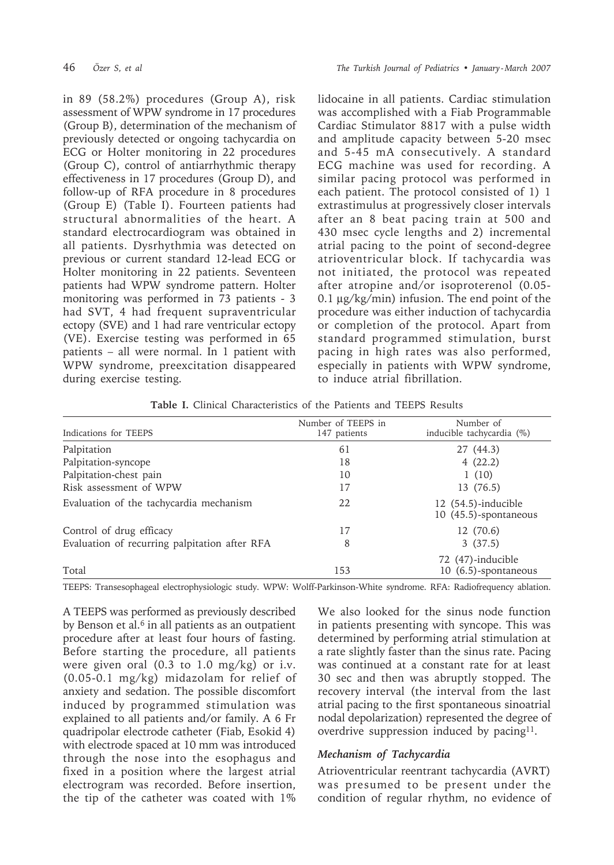in 89 (58.2%) procedures (Group A), risk assessment of WPW syndrome in 17 procedures (Group B), determination of the mechanism of previously detected or ongoing tachycardia on ECG or Holter monitoring in 22 procedures (Group C), control of antiarrhythmic therapy effectiveness in 17 procedures (Group D), and follow-up of RFA procedure in 8 procedures (Group E) (Table I). Fourteen patients had structural abnormalities of the heart. A standard electrocardiogram was obtained in all patients. Dysrhythmia was detected on previous or current standard 12-lead ECG or Holter monitoring in 22 patients. Seventeen patients had WPW syndrome pattern. Holter monitoring was performed in 73 patients - 3 had SVT, 4 had frequent supraventricular ectopy (SVE) and 1 had rare ventricular ectopy (VE). Exercise testing was performed in 65 patients – all were normal. In 1 patient with WPW syndrome, preexcitation disappeared during exercise testing.

lidocaine in all patients. Cardiac stimulation was accomplished with a Fiab Programmable Cardiac Stimulator 8817 with a pulse width and amplitude capacity between 5-20 msec and 5-45 mA consecutively. A standard ECG machine was used for recording. A similar pacing protocol was performed in each patient. The protocol consisted of 1) 1 extrastimulus at progressively closer intervals after an 8 beat pacing train at 500 and 430 msec cycle lengths and 2) incremental atrial pacing to the point of second-degree atrioventricular block. If tachycardia was not initiated, the protocol was repeated after atropine and/or isoproterenol (0.05- 0.1 µg/kg/min) infusion. The end point of the procedure was either induction of tachycardia or completion of the protocol. Apart from standard programmed stimulation, burst pacing in high rates was also performed, especially in patients with WPW syndrome, to induce atrial fibrillation.

**Table I.** Clinical Characteristics of the Patients and TEEPS Results

| Indications for TEEPS                         | Number of TEEPS in<br>147 patients | Number of<br>inducible tachycardia (%)         |
|-----------------------------------------------|------------------------------------|------------------------------------------------|
| Palpitation                                   | 61                                 | 27 (44.3)                                      |
| Palpitation-syncope                           | 18                                 | 4(22.2)                                        |
| Palpitation-chest pain                        | 10                                 | 1(10)                                          |
| Risk assessment of WPW                        | 17                                 | 13 (76.5)                                      |
| Evaluation of the tachycardia mechanism       | 22                                 | $12(54.5)$ -inducible<br>10 (45.5)-spontaneous |
| Control of drug efficacy                      | 17                                 | 12 (70.6)                                      |
| Evaluation of recurring palpitation after RFA | 8                                  | 3(37.5)                                        |
| Total                                         | 153                                | 72 (47)-inducible<br>10 (6.5)-spontaneous      |

TEEPS: Transesophageal electrophysiologic study. WPW: Wolff-Parkinson-White syndrome. RFA: Radiofrequency ablation.

A TEEPS was performed as previously described by Benson et al. $6$  in all patients as an outpatient procedure after at least four hours of fasting. Before starting the procedure, all patients were given oral (0.3 to 1.0 mg/kg) or i.v. (0.05-0.1 mg/kg) midazolam for relief of anxiety and sedation. The possible discomfort induced by programmed stimulation was explained to all patients and/or family. A 6 Fr quadripolar electrode catheter (Fiab, Esokid 4) with electrode spaced at 10 mm was introduced through the nose into the esophagus and fixed in a position where the largest atrial electrogram was recorded. Before insertion, the tip of the catheter was coated with 1%

We also looked for the sinus node function in patients presenting with syncope. This was determined by performing atrial stimulation at a rate slightly faster than the sinus rate. Pacing was continued at a constant rate for at least 30 sec and then was abruptly stopped. The recovery interval (the interval from the last atrial pacing to the first spontaneous sinoatrial nodal depolarization) represented the degree of overdrive suppression induced by pacing<sup>11</sup>.

## *Mechanism of Tachycardia*

Atrioventricular reentrant tachycardia (AVRT) was presumed to be present under the condition of regular rhythm, no evidence of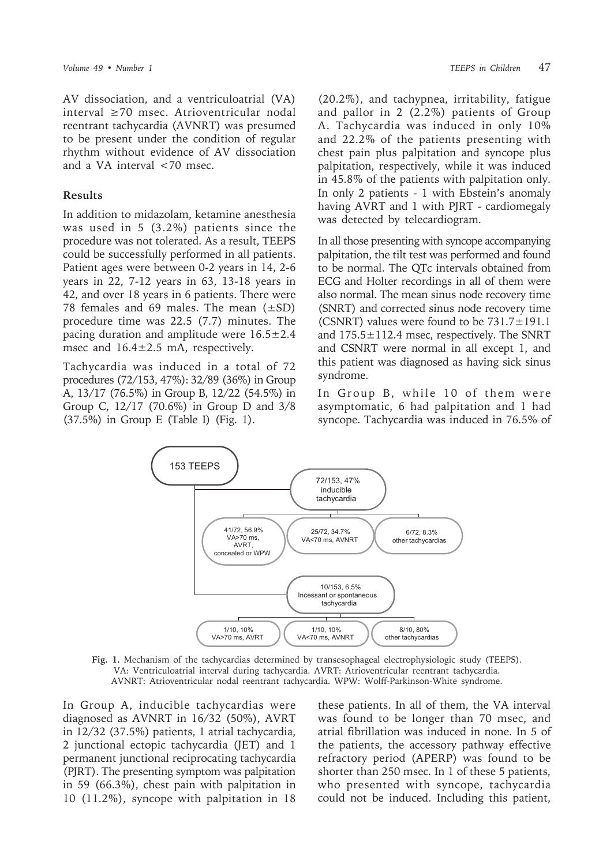AV dissociation, and a ventriculoatrial (VA) interval  $\geq 70$  msec. Atrioventricular nodal reentrant tachycardia (AVNRT) was presumed to be present under the condition of regular rhythm without evidence of AV dissociation and a VA interval <70 msec.

#### **Results**

In addition to midazolam, ketamine anesthesia was used in  $5$   $(3.2\%)$  patients since the procedure was not tolerated. As a result, TEEPS could be successfully performed in all patients. Patient ages were between 0-2 years in 14, 2-6 years in 22, 7-12 years in 63, 13-18 years in 42, and over 18 years in 6 patients. There were 78 females and 69 males. The mean  $(\pm SD)$ procedure time was 22.5 (7.7) minutes. The pacing duration and amplitude were  $16.5 \pm 2.4$ msec and  $16.4 \pm 2.5$  mA, respectively.

Tachycardia was induced in a total of 72 procedures (72/153, 47%): 32/89 (36%) in Group A, 13/17 (76.5%) in Group B, 12/22 (54.5%) in Group C, 12/17 (70.6%) in Group D and 3/8 (37.5%) in Group E (Table I) (Fig. 1).

(20.2%), and tachypnea, irritability, fatigue and pallor in  $2(2.2\%)$  patients of Group A. Tachycardia was induced in only 10% and 22.2% of the patients presenting with chest pain plus palpitation and syncope plus palpitation, respectively, while it was induced in 45.8% of the patients with palpitation only. In only 2 patients - 1 with Ebstein's anomaly having AVRT and 1 with PJRT - cardiomegaly was detected by telecardiogram.

In all those presenting with syncope accompanying palpitation, the tilt test was performed and found to be normal. The QTc intervals obtained from ECG and Holter recordings in all of them were also normal. The mean sinus node recovery time (SNRT) and corrected sinus node recovery time (CSNRT) values were found to be  $731.7 \pm 191.1$ and  $175.5 \pm 112.4$  msec, respectively. The SNRT and CSNRT were normal in all except 1, and this patient was diagnosed as having sick sinus syndrome.

In Group B, while 10 of them were asymptomatic, 6 had palpitation and 1 had syncope. Tachycardia was induced in 76.5% of



Fig. 1. Mechanism of the tachycardias determined by transesophageal electrophysiologic study (TEEPS). VA: Ventriculoatrial interval during tachycardia. AVRT: Atrioventricular reentrant tachycardia. AVNRT: Atrioventricular nodal reentrant tachycardia. WPW: Wolff-Parkinson-White syndrome.

In Group A, inducible tachycardias were diagnosed as AVNRT in 16/32 (50%), AVRT in 12/32 (37.5%) patients, 1 atrial tachycardia, 2 junctional ectopic tachycardia (JET) and 1 permanent junctional reciprocating tachycardia (PJRT). The presenting symptom was palpitation in 59 (66.3%), chest pain with palpitation in 10 (11.2%), syncope with palpitation in 18

these patients. In all of them, the VA interval was found to be longer than 70 msec, and atrial fibrillation was induced in none. In 5 of the patients, the accessory pathway effective refractory period (APERP) was found to be shorter than 250 msec. In 1 of these 5 patients, who presented with syncope, tachycardia could not be induced. Including this patient,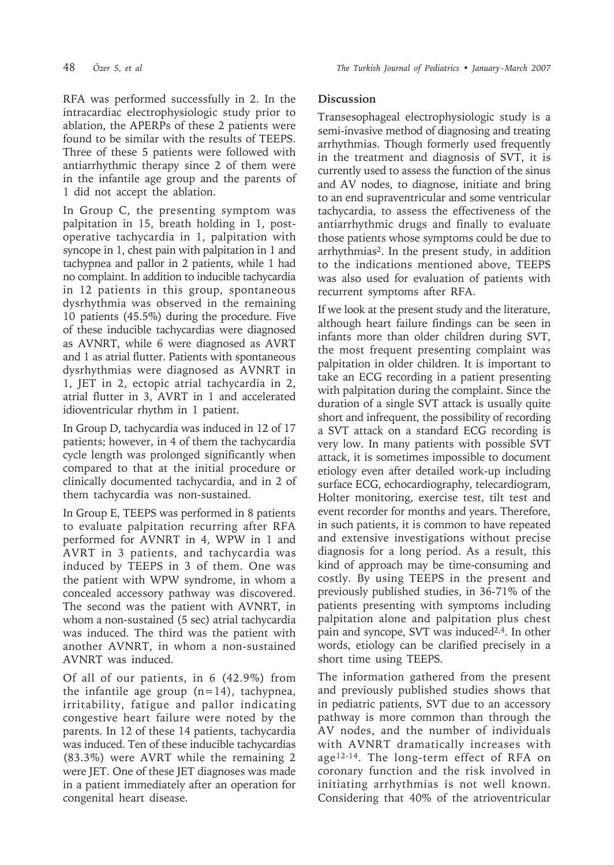RFA was performed successfully in 2. In the intracardiac electrophysiologic study prior to ablation, the APERPs of these 2 patients were found to be similar with the results of TEEPS. Three of these 5 patients were followed with antiarrhythmic therapy since 2 of them were in the infantile age group and the parents of 1 did not accept the ablation.

In Group C, the presenting symptom was palpitation in 15, breath holding in 1, postoperative tachycardia in 1, palpitation with syncope in 1, chest pain with palpitation in 1 and tachypnea and pallor in 2 patients, while 1 had no complaint. In addition to inducible tachycardia in 12 patients in this group, spontaneous dysrhythmia was observed in the remaining 10 patients (45.5%) during the procedure. Five of these inducible tachycardias were diagnosed as AVNRT, while 6 were diagnosed as AVRT and 1 as atrial flutter. Patients with spontaneous dysrhythmias were diagnosed as AVNRT in 1, JET in 2, ectopic atrial tachycardia in 2, atrial flutter in 3, AVRT in 1 and accelerated idioventricular rhythm in 1 patient.

In Group D, tachycardia was induced in 12 of 17 patients; however, in 4 of them the tachycardia cycle length was prolonged significantly when compared to that at the initial procedure or clinically documented tachycardia, and in 2 of them tachycardia was non-sustained.

In Group E, TEEPS was performed in 8 patients to evaluate palpitation recurring after RFA performed for AVNRT in 4, WPW in 1 and AVRT in 3 patients, and tachycardia was induced by TEEPS in 3 of them. One was the patient with WPW syndrome, in whom a concealed accessory pathway was discovered. The second was the patient with AVNRT, in whom a non-sustained (5 sec) atrial tachycardia was induced. The third was the patient with another AVNRT, in whom a non-sustained AVNRT was induced.

Of all of our patients, in 6 (42.9%) from the infantile age group  $(n=14)$ , tachypnea, irritability, fatigue and pallor indicating congestive heart failure were noted by the parents. In 12 of these 14 patients, tachycardia was induced. Ten of these inducible tachycardias (83.3%) were AVRT while the remaining 2 were JET. One of these JET diagnoses was made in a patient immediately after an operation for congenital heart disease.

## **Discussion**

Transesophageal electrophysiologic study is a semi-invasive method of diagnosing and treating arrhythmias. Though formerly used frequently in the treatment and diagnosis of SVT, it is currently used to assess the function of the sinus and AV nodes, to diagnose, initiate and bring to an end supraventricular and some ventricular tachycardia, to assess the effectiveness of the antiarrhythmic drugs and finally to evaluate those patients whose symptoms could be due to arrhythmias2. In the present study, in addition to the indications mentioned above, TEEPS was also used for evaluation of patients with recurrent symptoms after RFA.

If we look at the present study and the literature, although heart failure findings can be seen in infants more than older children during SVT, the most frequent presenting complaint was palpitation in older children. It is important to take an ECG recording in a patient presenting with palpitation during the complaint. Since the duration of a single SVT attack is usually quite short and infrequent, the possibility of recording a SVT attack on a standard ECG recording is very low. In many patients with possible SVT attack, it is sometimes impossible to document etiology even after detailed work-up including surface ECG, echocardiography, telecardiogram, Holter monitoring, exercise test, tilt test and event recorder for months and years. Therefore, in such patients, it is common to have repeated and extensive investigations without precise diagnosis for a long period. As a result, this kind of approach may be time-consuming and costly. By using TEEPS in the present and previously published studies, in 36-71% of the patients presenting with symptoms including palpitation alone and palpitation plus chest pain and syncope, SVT was induced<sup>2,4</sup>. In other words, etiology can be clarified precisely in a short time using TEEPS.

The information gathered from the present and previously published studies shows that in pediatric patients, SVT due to an accessory pathway is more common than through the AV nodes, and the number of individuals with AVNRT dramatically increases with age12-14. The long-term effect of RFA on coronary function and the risk involved in initiating arrhythmias is not well known. Considering that 40% of the atrioventricular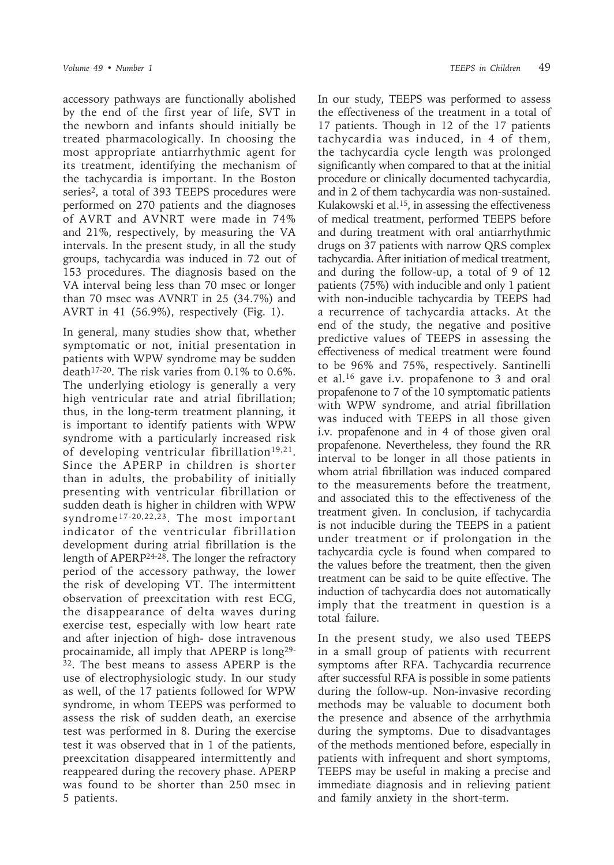accessory pathways are functionally abolished by the end of the first year of life, SVT in the newborn and infants should initially be treated pharmacologically. In choosing the most appropriate antiarrhythmic agent for its treatment, identifying the mechanism of the tachycardia is important. In the Boston series<sup>2</sup>, a total of 393 TEEPS procedures were performed on 270 patients and the diagnoses of AVRT and AVNRT were made in 74% and 21%, respectively, by measuring the VA intervals. In the present study, in all the study groups, tachycardia was induced in 72 out of 153 procedures. The diagnosis based on the VA interval being less than 70 msec or longer than 70 msec was AVNRT in 25 (34.7%) and AVRT in 41 (56.9%), respectively (Fig. 1).

In general, many studies show that, whether symptomatic or not, initial presentation in patients with WPW syndrome may be sudden death17-20. The risk varies from 0.1% to 0.6%. The underlying etiology is generally a very high ventricular rate and atrial fibrillation; thus, in the long-term treatment planning, it is important to identify patients with WPW syndrome with a particularly increased risk of developing ventricular fibrillation<sup>19,21</sup>. Since the APERP in children is shorter than in adults, the probability of initially presenting with ventricular fibrillation or sudden death is higher in children with WPW syndrome17-20,22,23. The most important indicator of the ventricular fibrillation development during atrial fibrillation is the length of APERP24-28. The longer the refractory period of the accessory pathway, the lower the risk of developing VT. The intermittent observation of preexcitation with rest ECG, the disappearance of delta waves during exercise test, especially with low heart rate and after injection of high- dose intravenous procainamide, all imply that APERP is long29- <sup>32</sup>. The best means to assess APERP is the use of electrophysiologic study. In our study as well, of the 17 patients followed for WPW syndrome, in whom TEEPS was performed to assess the risk of sudden death, an exercise test was performed in 8. During the exercise test it was observed that in 1 of the patients, preexcitation disappeared intermittently and reappeared during the recovery phase. APERP was found to be shorter than 250 msec in 5 patients.

In our study, TEEPS was performed to assess the effectiveness of the treatment in a total of 17 patients. Though in 12 of the 17 patients tachycardia was induced, in 4 of them, the tachycardia cycle length was prolonged significantly when compared to that at the initial procedure or clinically documented tachycardia, and in 2 of them tachycardia was non-sustained. Kulakowski et al.15, in assessing the effectiveness of medical treatment, performed TEEPS before and during treatment with oral antiarrhythmic drugs on 37 patients with narrow QRS complex tachycardia. After initiation of medical treatment, and during the follow-up, a total of 9 of 12 patients (75%) with inducible and only 1 patient with non-inducible tachycardia by TEEPS had a recurrence of tachycardia attacks. At the end of the study, the negative and positive predictive values of TEEPS in assessing the effectiveness of medical treatment were found to be 96% and 75%, respectively. Santinelli et al.16 gave i.v. propafenone to 3 and oral propafenone to 7 of the 10 symptomatic patients with WPW syndrome, and atrial fibrillation was induced with TEEPS in all those given i.v. propafenone and in 4 of those given oral propafenone. Nevertheless, they found the RR interval to be longer in all those patients in whom atrial fibrillation was induced compared to the measurements before the treatment, and associated this to the effectiveness of the treatment given. In conclusion, if tachycardia is not inducible during the TEEPS in a patient under treatment or if prolongation in the tachycardia cycle is found when compared to the values before the treatment, then the given treatment can be said to be quite effective. The induction of tachycardia does not automatically imply that the treatment in question is a total failure.

In the present study, we also used TEEPS in a small group of patients with recurrent symptoms after RFA. Tachycardia recurrence after successful RFA is possible in some patients during the follow-up. Non-invasive recording methods may be valuable to document both the presence and absence of the arrhythmia during the symptoms. Due to disadvantages of the methods mentioned before, especially in patients with infrequent and short symptoms, TEEPS may be useful in making a precise and immediate diagnosis and in relieving patient and family anxiety in the short-term.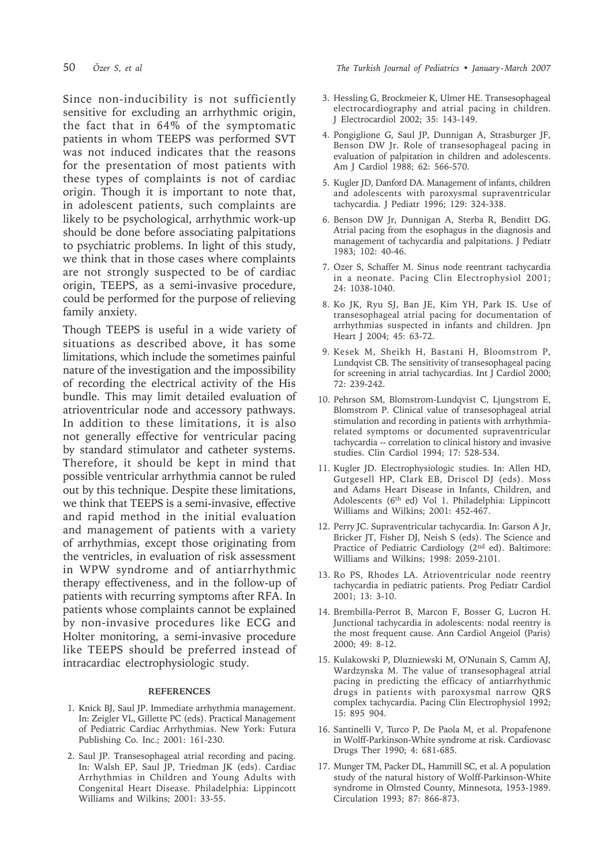Since non-inducibility is not sufficiently sensitive for excluding an arrhythmic origin, the fact that in 64% of the symptomatic patients in whom TEEPS was performed SVT was not induced indicates that the reasons for the presentation of most patients with these types of complaints is not of cardiac origin. Though it is important to note that, in adolescent patients, such complaints are likely to be psychological, arrhythmic work-up should be done before associating palpitations to psychiatric problems. In light of this study, we think that in those cases where complaints are not strongly suspected to be of cardiac origin, TEEPS, as a semi-invasive procedure, could be performed for the purpose of relieving family anxiety.

Though TEEPS is useful in a wide variety of situations as described above, it has some limitations, which include the sometimes painful nature of the investigation and the impossibility of recording the electrical activity of the His bundle. This may limit detailed evaluation of atrioventricular node and accessory pathways. In addition to these limitations, it is also not generally effective for ventricular pacing by standard stimulator and catheter systems. Therefore, it should be kept in mind that possible ventricular arrhythmia cannot be ruled out by this technique. Despite these limitations, we think that TEEPS is a semi-invasive, effective and rapid method in the initial evaluation and management of patients with a variety of arrhythmias, except those originating from the ventricles, in evaluation of risk assessment in WPW syndrome and of antiarrhythmic therapy effectiveness, and in the follow-up of patients with recurring symptoms after RFA. In patients whose complaints cannot be explained by non-invasive procedures like ECG and Holter monitoring, a semi-invasive procedure like TEEPS should be preferred instead of intracardiac electrophysiologic study.

#### **REFERENCES**

- 1. Knick BJ, Saul JP. Immediate arrhythmia management. In: Zeigler VL, Gillette PC (eds). Practical Management of Pediatric Cardiac Arrhythmias. New York: Futura Publishing Co. Inc.; 2001: 161-230.
- 2. Saul JP. Transesophageal atrial recording and pacing. In: Walsh EP, Saul JP, Triedman JK (eds). Cardiac Arrhythmias in Children and Young Adults with Congenital Heart Disease. Philadelphia: Lippincott Williams and Wilkins; 2001: 33-55.
- 3. Hessling G, Brockmeier K, Ulmer HE. Transesophageal electrocardiography and atrial pacing in children. J Electrocardiol 2002; 35: 143-149.
- 4. Pongiglione G, Saul JP, Dunnigan A, Strasburger JF, Benson DW Jr. Role of transesophageal pacing in evaluation of palpitation in children and adolescents. Am J Cardiol 1988; 62: 566-570.
- 5. Kugler JD, Danford DA. Management of infants, children and adolescents with paroxysmal supraventricular tachycardia. J Pediatr 1996; 129: 324-338.
- 6. Benson DW Jr, Dunnigan A, Sterba R, Benditt DG. Atrial pacing from the esophagus in the diagnosis and management of tachycardia and palpitations. J Pediatr 1983; 102: 40-46.
- 7. Ozer S, Schaffer M. Sinus node reentrant tachycardia in a neonate. Pacing Clin Electrophysiol 2001; 24: 1038-1040.
- 8. Ko JK, Ryu SJ, Ban JE, Kim YH, Park IS. Use of transesophageal atrial pacing for documentation of arrhythmias suspected in infants and children. Jpn Heart J 2004; 45: 63-72.
- 9. Kesek M, Sheikh H, Bastani H, Bloomstrom P, Lundqvist CB. The sensitivity of transesophageal pacing for screening in atrial tachycardias. Int J Cardiol 2000; 72: 239-242.
- 10. Pehrson SM, Blomstrom-Lundqvist C, Ljungstrom E, Blomstrom P. Clinical value of transesophageal atrial stimulation and recording in patients with arrhythmiarelated symptoms or documented supraventricular tachycardia -- correlation to clinical history and invasive studies. Clin Cardiol 1994; 17: 528-534.
- 11. Kugler JD. Electrophysiologic studies. In: Allen HD, Gutgesell HP, Clark EB, Driscol DJ (eds). Moss and Adams Heart Disease in Infants, Children, and Adolescents (6th ed) Vol 1. Philadelphia: Lippincott Williams and Wilkins; 2001: 452-467.
- 12. Perry JC. Supraventricular tachycardia. In: Garson A Jr, Bricker JT, Fisher DJ, Neish S (eds). The Science and Practice of Pediatric Cardiology (2<sup>nd</sup> ed). Baltimore: Williams and Wilkins; 1998: 2059-2101.
- 13. Ro PS, Rhodes LA. Atrioventricular node reentry tachycardia in pediatric patients. Prog Pediatr Cardiol 2001; 13: 3-10.
- 14. Brembilla-Perrot B, Marcon F, Bosser G, Lucron H. Junctional tachycardia in adolescents: nodal reentry is the most frequent cause. Ann Cardiol Angeiol (Paris) 2000; 49: 8-12.
- 15. Kulakowski P, Dluzniewski M, O'Nunain S, Camm AJ, Wardzynska M. The value of transesophageal atrial pacing in predicting the efficacy of antiarrhythmic drugs in patients with paroxysmal narrow QRS complex tachycardia. Pacing Clin Electrophysiol 1992; 15: 895 904.
- 16. Santinelli V, Turco P, De Paola M, et al. Propafenone in Wolff-Parkinson-White syndrome at risk. Cardiovasc Drugs Ther 1990; 4: 681-685.
- 17. Munger TM, Packer DL, Hammill SC, et al. A population study of the natural history of Wolff-Parkinson-White syndrome in Olmsted County, Minnesota, 1953-1989. Circulation 1993; 87: 866-873.